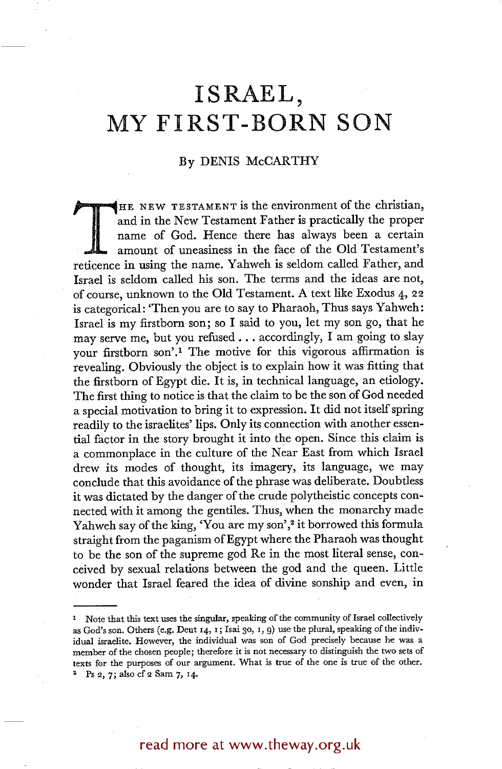## **ISRAEL, MY FIRST-BORN SON**

## By DENIS McCARTHY

THE NEW TESTAMENT is the environment of the christian, and in the New Testament Father is practically the proper name of God. Hence there has always been a certain amount of uneasiness in the face of the Old Testament's re and in the New Testament Father is practically the proper name of God. Hence there has always been a certain amount of uneasiness in the face of the Old Testament's reticence in using the name. Yahweh is seldom called Father, and Israel is seldom called his son. The terms and the ideas are not, of course, unknown to the Old Testament. A text like Exodus 4, 22 is categorical: 'Then you are to say to Pharaoh, Thus says Yahweh: Israel is my firstborn son; so I said to you, let my son go, that he may serve me, but you refused.., accordingly, I am going to slay your firstborn son'.<sup>1</sup> The motive for this vigorous affirmation is revealing. Obviously the object is to explain how it was fitting that the firstborn of Egypt die. It is, in technical language, an etiology. The first thing to notice is that the claim to be the son of God needed a special motivation to bring it to expression. It did not itself spring readily to the israelites' lips. Only its connection with another essential factor in the story brought it into the open. Since this claim is a commonplace in the culture of the Near East from which Israel drew its modes of thought, its imagery, its language, we may conclude that this avoidance of the phrase was deliberate. Doubtless it was dictated by the danger of the crude polytheistic concepts connected with it among the gentiles. Thus, when the monarchy made Yahweh say of the king, 'You are my son',<sup>2</sup> it borrowed this formula straight from the paganism of Egypt where the Pharaoh was thought to be the son of the supreme god Re in the most literal sense, conceived by sexual relations between the god and the queen. Little wonder that Israel feared the idea of divine sonship and even, in

## read more at www.theway.org.uk

<sup>1</sup> Note that this text uses the singular, speaking of the community of Israel collectively as God's son. Others (e.g. Deut 14, 1; Isai 30, 1, 9) use the plural, speaking of the individual israelite. However, the individual was son of God precisely because he was a member of the chosen people; therefore it is not necessary to distinguish the two sets of texts for the purposes of our argument. What is true of the one is true of the other. <sup>2</sup> Ps 2, 7; also cf 2 Sam 7, 14.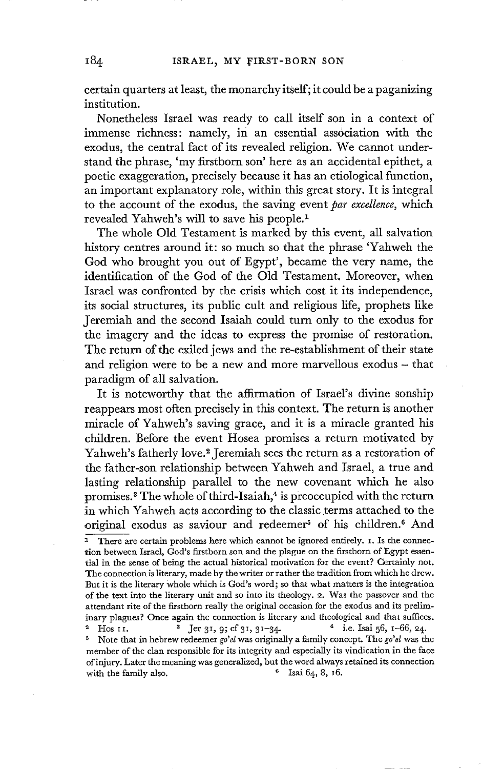certain quarters at least, the monarchy itself; it could be a paganizing institution.

Nonetheless Israel was ready to call itself son in a context of immense richness: namely, in an essential association with the exodus, the central fact of its revealed religion. We cannot understand the phrase, 'my firstborn son' here as an accidental epithet, a poetic exaggeration, precisely because it has an etiological function, an important explanatory role, within this great story. It is integral to the account of the exodus, the saving event *par excellence,* which revealed Yahweh's will to save his people. I

The whole Old Testament is marked by this event, all salvation history centres around it: so much so that the phrase 'Yahweh the God who brought you out of Egypt', became the very name, the identification of the God of the Old Testament. Moreover, when Israel was confronted by the crisis which cost it its independence, its social structures, its public cult and religious life, prophets like Jeremiah and the second Isaiah could turn only to the exodus for the imagery and the ideas to express the promise of restoration. The return of the exiled jews and the re-establishment of their state and religion were to be a new and more marvellous exodus – that paradigm of all salvation.

It is noteworthy that the affirmation of Israel's divine sonship reappears most often precisely in this context. The return is another miracle of Yahweh's saving grace, and it is a miracle granted his children. Before the event Hosea promises a return motivated by Yahweh's fatherly love.<sup>2</sup> Jeremiah sees the return as a restoration of the father-son relationship between Yahweh and Israel, a true and lasting relationship parallel to the new covenant which he also promises.<sup>3</sup> The whole of third-Isaiah,<sup>4</sup> is preoccupied with the return in which Yahweh acts according to the classic terms attached to the original exodus as saviour and redeemer<sup>5</sup> of his children.<sup>6</sup> And

<sup>2</sup> Hos II. <sup>3</sup> Jer 31, 9; cf 31, 31-34. <sup>4</sup> i.e. Isai 56, 1-66, 24. 5 Note that in hebrew redeemer *go'el* was originally a family concept. The *go'el* was the member of the clan responsible for its integrity and especially its vindication in the face of injury. Later the meaning was generalized, but the word always retained its connection with the family also.  $\frac{6}{1}$  Isai 64, 8, 16.

 $\overline{1}$  There are certain problems here which cannot be ignored entirely. I. Is the connection between Israel, God's firstborn son and the plague on the firstborn of Egypt essential in the sense of being the actual historical motivation for the event? Certainly not. The connection is literary, made by the writer or rather the tradition from which he drew. But it is the literary whole which is God's word; so that what matters is the integration of the text into the literary unit and so into its theology. 2. Was the passover and the attendant rite of the firstborn really the original occasion for the exodus and its preliminary plagues? Once again the connection is literary and theological and that suffices.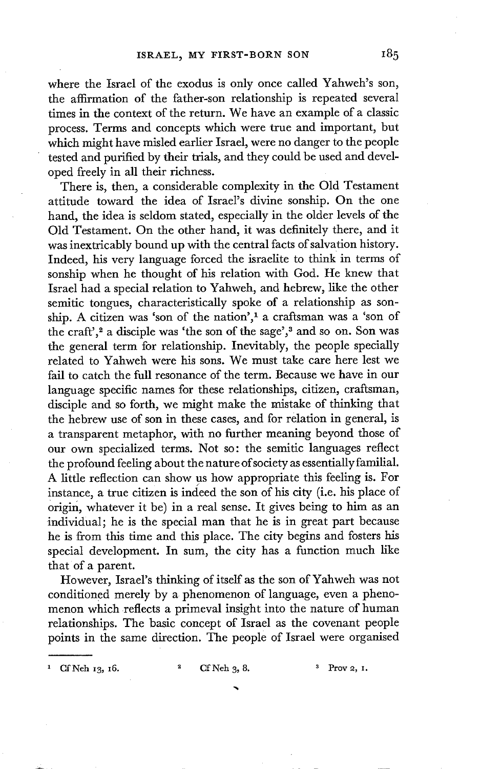where the Israel of the exodus is only once called Yahweh's son, the affirmation of the father-son relationship is repeated several times in the context of the return. We have an example of a classic process. Terms and concepts which were true and important, but which might have misled earlier Israel, were no danger to the people tested and purified by their trials, and they could be used and developed freely in all their richness.

There is, then, a considerable complexity in the Old Testament attitude toward the idea of Israel's divine sonship. On the one hand, the idea is seldom stated, especially in the older levels of the Old Testament. On the other hand, it was definitely there, and it was inextricably bound up with the central facts of salvation history. Indeed, his very language forced the israelite to think in terms of sonship when he thought of his relation with God. He knew that Israel had a special relation to Yahweh, and hebrew, like the other semitic tongues, characteristically spoke of a relationship as sonship. A citizen was 'son of the nation',<sup>1</sup> a craftsman was a 'son of the craft',<sup>2</sup> a disciple was 'the son of the sage',<sup>3</sup> and so on. Son was the general term for relationship. Inevitably, the people specially related to Yahweh were his sons. We must take care here lest we fail to catch the full resonance of the term. Because we have in our language specific names for these relationships, citizen, craftsman, disciple and so forth, we might make the mistake of thinking that the hebrew use of son in these cases, and for relation in general, is a transparent metaphor, with no further meaning beyond those of our own specialized terms. Not so: the semitic languages reflect the profound feeling about the nature of society as essentially familial. A little reflection can show us how appropriate this feeling is. For instance, a true citizen is indeed the son of his city (i.e. his place of origin, whatever it be) in a real sense. It gives being to him as an individual; he is the special man that he is in great part because he is from this time and this place. The city begins and fosters his special development. In sum, the city has a function much like that of a parent.

However, Israel's thinking of itself as the son of Yahweh was not conditioned merely by a phenomenon of language, even a phenomenon which reflects a primeval insight into the nature of human relationships. The basic concept of Israel as the covenant people points in the same direction. The people of Israel were organised

<sup>1</sup> Cf Neh 13, 16.  $^{2}$  Cf Neh 3, 8.  $^{3}$  Prov 2, I.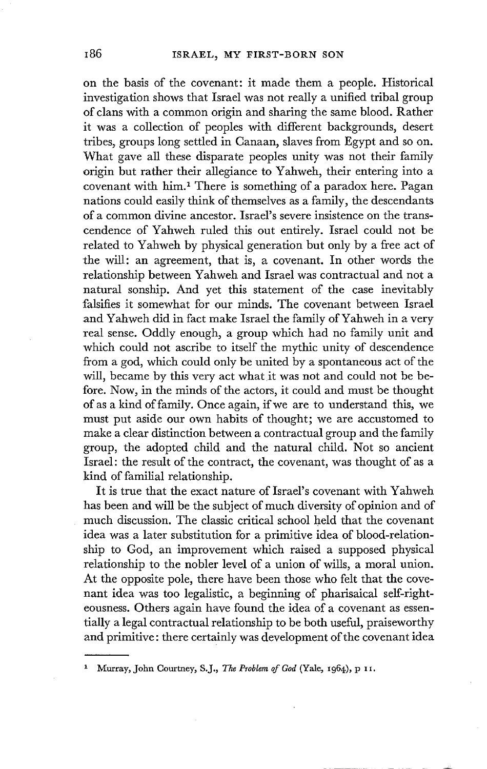on the basis of the covenant: it made them a people. Historical investigation shows that Israel was not really a unified tribal group of clans with a common origin and sharing the same blood. Rather it was a collection of peoples with different backgrounds, desert tribes, groups long settled in Canaan, slaves from Egypt and so on. What gave all these disparate peoples unity was not their family origin but rather their allegiance to Yahweh, their entering into a covenant with him.<sup>1</sup> There is something of a paradox here. Pagan nations could easily think of themselves as a family, the descendants of a common divine ancestor. Israel's severe insistence on the transcendence of Yahweh ruled this out entirely. Israel could not be related to Yahweh by physical generation but only by a free act of the will: an agreement, that is, a covenant. In other words the relationship between Yahweh and Israel was contractual and not a natural sonship. And yet this statement of the case inevitably falsifies it somewhat for our minds. The covenant between Israel and Yahweh did in fact make Israel the family of Yahweh in a very real sense. Oddly enough, a group which had no family unit and which could not ascribe to itself the mythic unity of descendence from a god, which could only be united by a spontaneous act of the will, became by this very act what it was not and could not be before. Now, in the minds of the actors, it could and must be thought of as a kind of family. Once again, if we are to understand this, we must put aside our own habits of thought; we are accustomed to make a clear distinction between a contractual group and the family group, the adopted child and the natural child. Not so ancient Israel: the result of the contract, the covenant, was thought of as a kind of familial relationship.

It is true that the exact nature of Israel's covenant with Yahweh has been and will be the subject of much diversity of opinion and of much discussion. The classic critical school held that the covenant idea was a later substitution for a primitive idea of blood-relationship to God, an improvement which raised a supposed physical relationship to the nobler level of a union of wills, a moral union. At the opposite pole, there have been those who felt that the covenant idea was too legalistic, a beginning of pharisaical self-righteousness. Others again have found the idea of a covenant as essentially a legal contractual relationship to be both useful, praiseworthy and primitive: there certainly was development of the covenant idea

<sup>1</sup> Murray, John Courtney, S.J., *The Problem of God* (Yale, 1964) , p IX.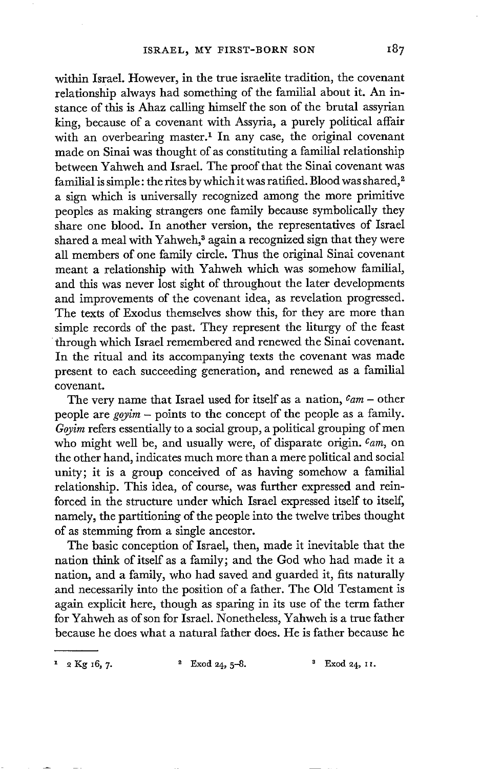within Israd. However, in the true israelite tradition, the covenant relationship always had something of the familial about it. An instance of this is Ahaz calling himself the son of the brutal assyrian king, because of a covenant with Assyria, a purely political affair with an overbearing master.<sup>1</sup> In any case, the original covenant made on Sinai was thought of as constituting a familial relationship between Yahweh and Israel. The proof that the Sinai covenant was familial is simple: the rites by which it was ratified. Blood was shared,<sup>2</sup> a sign which is universally recognized among the more primitive peoples as making strangers one family because symbolically they share one blood. In another version, the representatives of Israel shared a meal with Yahweh,<sup>3</sup> again a recognized sign that they were all members of one family circle. Thus the original Sinai covenant meant a relationship with Yahweh which was somehow familial, and this was never lost sight of throughout the later developments and improvements of the covenant idea, as revelation progressed. The texts of Exodus themselves show this, for they are more than simple records of the past. They represent the liturgy of the feast through which Israel remembered and renewed the Sinai covenant. In the ritual and its accompanying texts the covenant was made present to each succeeding generation, and renewed as a familial covenant.

The very name that Israel used for itself as a nation, *Cam -* other people are *goyim -* points to the concept of the people as a family. *Goyim* refers essentially to a social group, a political grouping of men who might well be, and usually were, of disparate origin. *Cam,* on the other hand, indicates much more than a mere political and social unity; it is a group conceived of as having somehow a familial relationship. This idea, of course, was further expressed and reinforced in the structure under which Israel expressed itself to itself, namely, the partitioning of the people into the twelve tribes thought of as stemming from a single ancestor.

The basic conception of Israel, then, made it inevitable that the nation think of itself as a family; and the God who had made it a nation, and a family, who had saved and guarded it, fits naturally and necessarily into the position of a father. The Old Testament is again explicit here, though as sparing in its use of the term father for Yahweh as of son for Israel. Nonetheless, Yahweh is a true father because he does what a natural father does. He is father because he

 $x^2$  2 Kg 16, 7.  $x^2$  Exod 24, 5-8.  $x^3$  Exod 24, 11.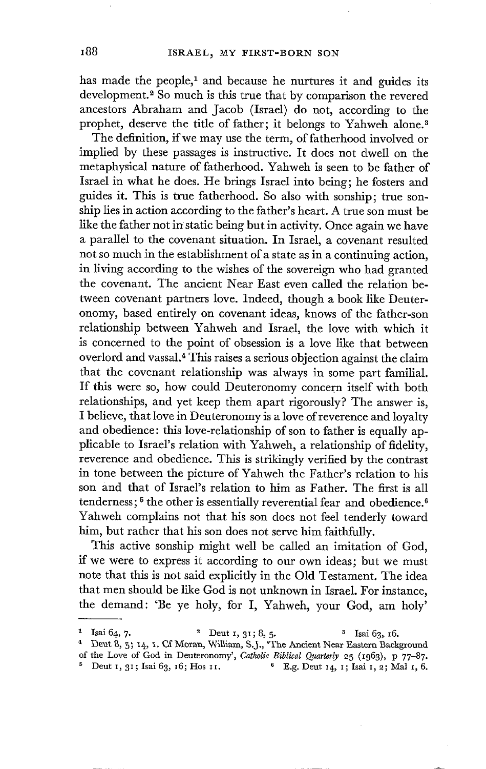has made the people,<sup>1</sup> and because he nurtures it and guides its development.<sup>2</sup> So much is this true that by comparison the revered ancestors Abraham and Jacob (Israel) do not, according to the prophet, deserve the title of father; it belongs to Yahweh alone.<sup>3</sup>

The definition, if we may use the term, of fatherhood involved or implied by these passages is instructive. It does not dwell on the metaphysical nature of fatherhood. Yahweh is seen to be father of Israel in what he does. He brings Israel into being; he fosters and guides it. This is true fatherhood. So also with sonship; true sonship lies in action according to the father's heart. A true son must be like the father not in static being but in activity. Once again we have a parallel to the covenant situation. In Israel, a covenant resulted not so much in the establishment of a state as in a continuing action, in living according to the wishes of the sovereign who had granted the covenant. The ancient Near East even called the relation between covenant partners love. Indeed, though a book like Deuteronomy, based entirely on covenant ideas, knows of the father-son relationship between Yahweh and Israel, the love with which it is concerned to the point of obsession is a love like that between overlord and vassal. 4 This raises a serious objection against the claim that the covenant relationship was always in some part familial. If this were so, how could Deuteronomy concern itself with both relationships, and yet keep them apart rigorously? The answer is, I believe, that love in Deuteronomy is a love of reverence and loyalty and obedience: this love-relationship of son to father is equally applicable to Israel's relation with Yahweh, a relationship of fidelity, reverence and obedience. This is strikingly verified by the contrast in tone between the picture of Yahweh the Father's relation to his son and that of Israel's relation to him as Father. The first is all tenderness;  $5$  the other is essentially reverential fear and obedience.<sup>6</sup> Yahweh complains not that his son does not feel tenderly toward him, but rather that his son does not serve him faithfully.

This active sonship might well be called an imitation of God, if we were to express it according to our own ideas; but we must note that this is not said explicitly in the Old Testament. The idea that men should be like God is not unknown in Israel. For instance, the demand: 'Be ye holy, for I, Yahweh, your God, am holy'

<sup>&</sup>lt;sup>1</sup> Isai 64, 7.  $2 \text{ Deut } 1, 31; 8, 5.$   $3 \text{ Isai } 63, 16.$ 

<sup>&</sup>lt;sup>4</sup> Deut 8, 5; 14, 1. Cf Moran, William, S.J., 'The Ancient Near Eastern Background

of the Love of God in Deuteronomy', *Catholic Biblical Quarterly* 25 (I963), p 77-87.

<sup>&</sup>lt;sup>5</sup> Deut 1, 31; Isai 63, 16; Hos 11. <sup>6</sup> E.g. Deut 14, 1; Isai 1, 2; Mal 1, 6.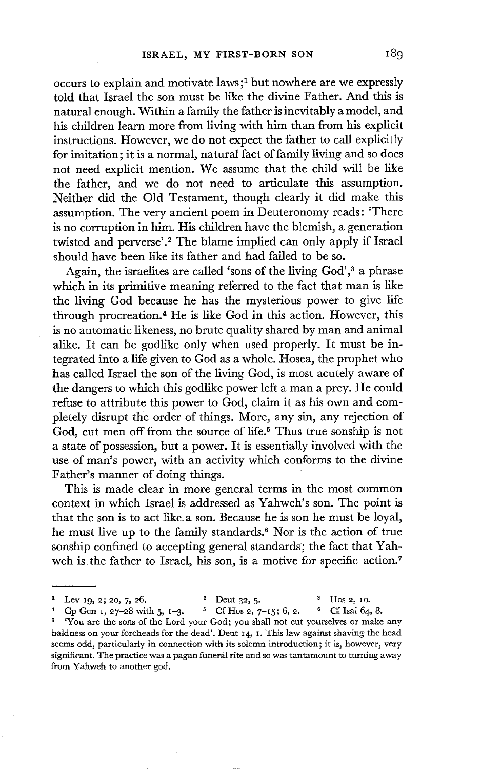occurs to explain and motivate laws;<sup>1</sup> but nowhere are we expressly told that Israel the son must be like the divine Father. And this is natural enough. Within a family the father is inevitably a model, and his children learn more from living with him than from his explicit instructions. However, we do not expect the father to call explicitly for imitation; it is a normal, natural fact of family living and so does not need explicit mention. We assume that the child will be like the father, and we do not need to articulate this assumption. Neither did the Old Testament, though clearly it did make this assumption. The very ancient poem in Deuteronomy reads: 'There is no corruption in him. His children have the blemish, a generation twisted and perverse'.<sup>2</sup> The blame implied can only apply if Israel should have been like its father and had failed to be so.

Again, the israelites are called 'sons of the living God',<sup>3</sup> a phrase which in its primitive meaning referred to the fact that man is like the living God because he has the mysterious power to give life through procreation.<sup>4</sup> He is like God in this action. However, this is no automatic likeness, no brute quality shared by man and animal alike. It can be godlike only when used properly. It must be integrated into a life given to God as a whole. Hosea, the prophet who has called Israel the son of the living God, is most acutely aware of the dangers to which this godlike power left a man a prey. He could refuse to attribute this power to God, claim it as his own and completely disrupt the order of things. More, any sin, any rejection of God, cut men off from the source of life.<sup>5</sup> Thus true sonship is not a state of possession, but a power. It is essentially involved with the use of man's power, with an activity which conforms to the divine Father's manner of doing things.

This is made clear in more general terms in the most common context in which Israel is addressed as Yahweh's son. The point is that the son is to act like. a son. Because he is son he must be loyal, he must live up to the family standards.<sup>6</sup> Nor is the action of true sonship confined to accepting general standards; the fact that Yahweh is the father to Israel, his son, is a motive for specific action.<sup>7</sup>

Cp Gen 1, 27-28 with 5, 1-3. <sup>5</sup> Cf Hos 2, 7-15; 6, 2. <sup>6</sup> Cf Isai 64, 8. 'You are the sons of the Lord your God; you shall not cut yourselves or make any baldness on your foreheads for the dead'. Deut 14, I. This law against shaving the head seems odd, particularly in connection with its solemn introduction; it is, however, very significant. The practice was a pagan funeral rite and so was tantamount to turning away from Yahweh to another god.

<sup>&</sup>lt;sup>1</sup> Lev 19, 2; 20, 7, 26. <sup>2</sup> Deut 32, 5. <sup>3</sup> Hos 2, 10.<br><sup>4</sup> Cp Gen 1, 27–28 with 5, 1–3. <sup>5</sup> Cf Hos 2, 7–15; 6, 2. <sup>6</sup> Cf Isai 64,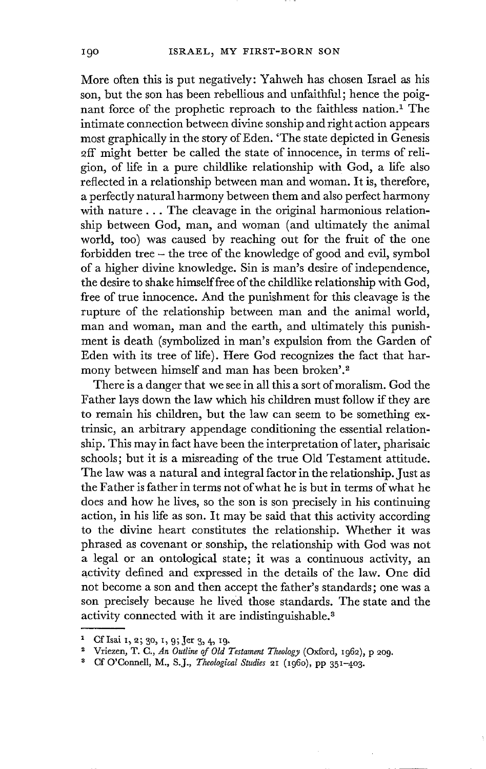More often this is put negatively: Yahweh has chosen Israel as his son, but the son has been rebellious and unfaithful; hence the poignant force of the prophetic reproach to the faithless nation.<sup>1</sup> The intimate connection between divine sonship and right action appears most graphically in the story of Eden. 'The state depicted in Genesis 2ff might better be called the state of innocence, in terms of religion, of life in a pure childlike relationship with God, a life also reflected in a relationship between man and woman. It is, therefore, a perfectly natural harmony between them and also perfect harmony with nature... The cleavage in the original harmonious relationship between God, man, and woman (and ultimately the animal world, too) was caused by reaching out for the fruit of the one forbidden tree - the tree of the knowledge of good and evil, symbol of a higher divine knowledge. Sin is man's desire of independence, the desire to shake himself free of the childlike relationship with God, free of true innocence. And the punishment for this cleavage is the rupture of the relationship between man and the animal world, man and woman, man and the earth, and ultimately this punishment is death (symbolized in man's expulsion from the Garden of Eden with its tree of life). Here God recognizes the fact that harmony between himself and man has been broken'.<sup>2</sup>

There is a danger that we see in all this a sort of moralism. God the Father lays down the law which his children must follow if they are to remain his children, but the law can seem to be something extrinsic, an arbitrary appendage conditioning the essential relationship. This may in fact have been the interpretation of later, pharisaic schools; but it is a misreading of the true Old Testament attitude. The law was a natural and integral factor in the relationship. Just as the Father is father in terms not of what he is but in terms of what he does and how he lives, so the son is son precisely in his continuing action, in his life as son. It may be said that this activity according to the divine heart constitutes the relationship. Whether it was phrased as covenant or sonship, the relationship with God was not a legal or an ontological state; it was a continuous activity, an activity defined and expressed in the details of the law. One did not become a son and then accept the father's standards; one was a son precisely because he lived those standards. The state and the activity connected with it are indistinguishable.<sup>3</sup>

<sup>&</sup>lt;sup>1</sup> Cf Isai 1, 2; 30, 1, 9; Jer 3, 4, 19.

Vriezen, T. C., *An Outline of Old Testament Theology* (Oxford, i962), p 209.

<sup>3</sup> Cf O'Connell, M., S.J., *Theological Studies* 2I (I96O), pp 35i-4o3 .